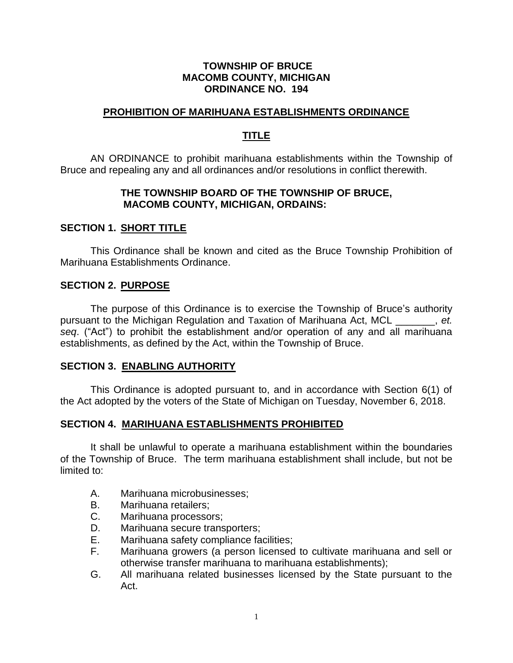## **TOWNSHIP OF BRUCE MACOMB COUNTY, MICHIGAN ORDINANCE NO. 194**

### **PROHIBITION OF MARIHUANA ESTABLISHMENTS ORDINANCE**

## **TITLE**

AN ORDINANCE to prohibit marihuana establishments within the Township of Bruce and repealing any and all ordinances and/or resolutions in conflict therewith.

## **THE TOWNSHIP BOARD OF THE TOWNSHIP OF BRUCE, MACOMB COUNTY, MICHIGAN, ORDAINS:**

## **SECTION 1. SHORT TITLE**

This Ordinance shall be known and cited as the Bruce Township Prohibition of Marihuana Establishments Ordinance.

## **SECTION 2. PURPOSE**

The purpose of this Ordinance is to exercise the Township of Bruce's authority pursuant to the Michigan Regulation and Taxation of Marihuana Act, MCL \_\_\_\_\_\_\_, *et. seq*. ("Act") to prohibit the establishment and/or operation of any and all marihuana establishments, as defined by the Act, within the Township of Bruce.

#### **SECTION 3. ENABLING AUTHORITY**

This Ordinance is adopted pursuant to, and in accordance with Section 6(1) of the Act adopted by the voters of the State of Michigan on Tuesday, November 6, 2018.

## **SECTION 4. MARIHUANA ESTABLISHMENTS PROHIBITED**

It shall be unlawful to operate a marihuana establishment within the boundaries of the Township of Bruce. The term marihuana establishment shall include, but not be limited to:

- A. Marihuana microbusinesses;
- B. Marihuana retailers;
- C. Marihuana processors;
- D. Marihuana secure transporters;
- E. Marihuana safety compliance facilities;
- F. Marihuana growers (a person licensed to cultivate marihuana and sell or otherwise transfer marihuana to marihuana establishments);
- G. All marihuana related businesses licensed by the State pursuant to the Act.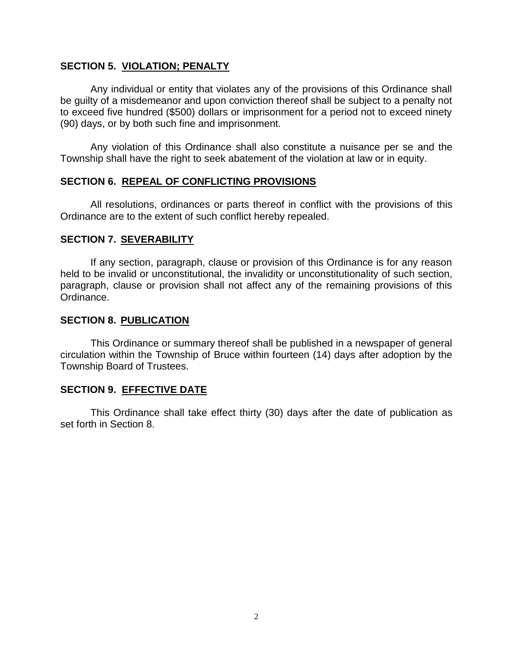## **SECTION 5. VIOLATION; PENALTY**

Any individual or entity that violates any of the provisions of this Ordinance shall be guilty of a misdemeanor and upon conviction thereof shall be subject to a penalty not to exceed five hundred (\$500) dollars or imprisonment for a period not to exceed ninety (90) days, or by both such fine and imprisonment.

Any violation of this Ordinance shall also constitute a nuisance per se and the Township shall have the right to seek abatement of the violation at law or in equity.

#### **SECTION 6. REPEAL OF CONFLICTING PROVISIONS**

All resolutions, ordinances or parts thereof in conflict with the provisions of this Ordinance are to the extent of such conflict hereby repealed.

#### **SECTION 7. SEVERABILITY**

If any section, paragraph, clause or provision of this Ordinance is for any reason held to be invalid or unconstitutional, the invalidity or unconstitutionality of such section, paragraph, clause or provision shall not affect any of the remaining provisions of this Ordinance.

#### **SECTION 8. PUBLICATION**

This Ordinance or summary thereof shall be published in a newspaper of general circulation within the Township of Bruce within fourteen (14) days after adoption by the Township Board of Trustees.

#### **SECTION 9. EFFECTIVE DATE**

This Ordinance shall take effect thirty (30) days after the date of publication as set forth in Section 8.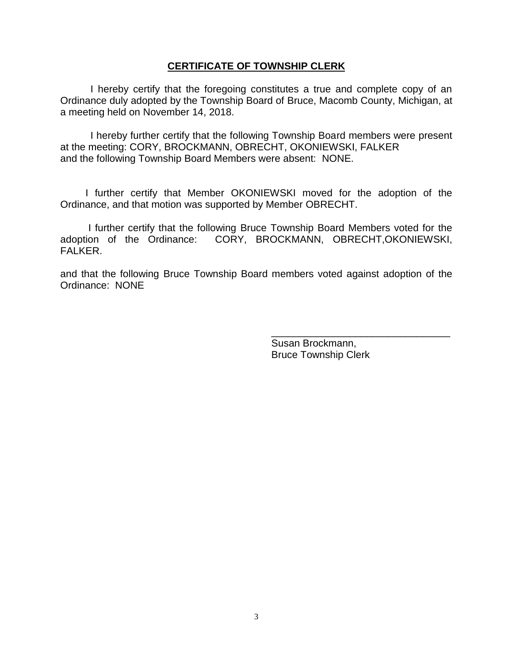### **CERTIFICATE OF TOWNSHIP CLERK**

I hereby certify that the foregoing constitutes a true and complete copy of an Ordinance duly adopted by the Township Board of Bruce, Macomb County, Michigan, at a meeting held on November 14, 2018.

I hereby further certify that the following Township Board members were present at the meeting: CORY, BROCKMANN, OBRECHT, OKONIEWSKI, FALKER and the following Township Board Members were absent: NONE.

 I further certify that Member OKONIEWSKI moved for the adoption of the Ordinance, and that motion was supported by Member OBRECHT.

 I further certify that the following Bruce Township Board Members voted for the adoption of the Ordinance: CORY, BROCKMANN, OBRECHT,OKONIEWSKI, FALKER.

and that the following Bruce Township Board members voted against adoption of the Ordinance: NONE

> Susan Brockmann, Bruce Township Clerk

\_\_\_\_\_\_\_\_\_\_\_\_\_\_\_\_\_\_\_\_\_\_\_\_\_\_\_\_\_\_\_\_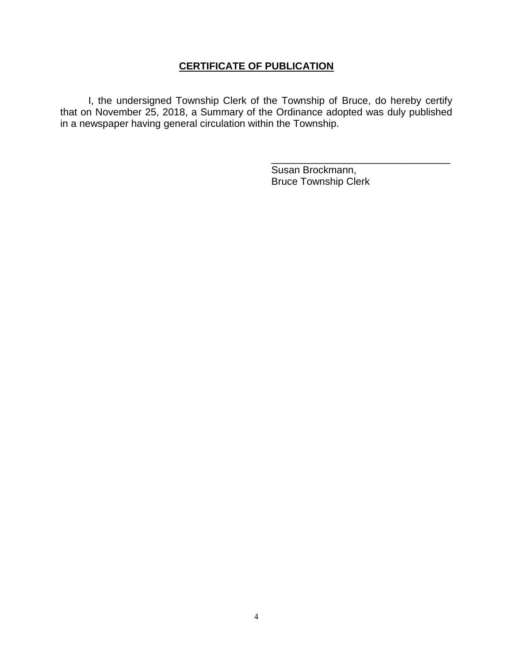# **CERTIFICATE OF PUBLICATION**

 I, the undersigned Township Clerk of the Township of Bruce, do hereby certify that on November 25, 2018, a Summary of the Ordinance adopted was duly published in a newspaper having general circulation within the Township.

> Susan Brockmann, Bruce Township Clerk

\_\_\_\_\_\_\_\_\_\_\_\_\_\_\_\_\_\_\_\_\_\_\_\_\_\_\_\_\_\_\_\_